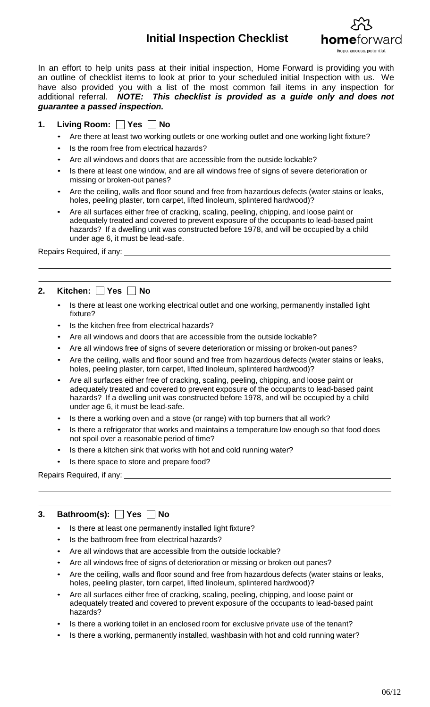# **Initial Inspection Checklist**



In an effort to help units pass at their initial inspection, Home Forward is providing you with an outline of checklist items to look at prior to your scheduled initial Inspection with us. We have also provided you with a list of the most common fail items in any inspection for additional referral. *NOTE: This checklist is provided as a guide only and does not guarantee a passed inspection.*

## **1.** Living Room: Yes Mo

- Are there at least two working outlets or one working outlet and one working light fixture?
- Is the room free from electrical hazards?
- Are all windows and doors that are accessible from the outside lockable?
- Is there at least one window, and are all windows free of signs of severe deterioration or missing or broken-out panes?
- Are the ceiling, walls and floor sound and free from hazardous defects (water stains or leaks, holes, peeling plaster, torn carpet, lifted linoleum, splintered hardwood)?
- Are all surfaces either free of cracking, scaling, peeling, chipping, and loose paint or adequately treated and covered to prevent exposure of the occupants to lead-based paint hazards? If a dwelling unit was constructed before 1978, and will be occupied by a child under age 6, it must be lead-safe.

Repairs Required, if any:

## **2.** Kitchen: □ Yes □ No

- Is there at least one working electrical outlet and one working, permanently installed light fixture?
- Is the kitchen free from electrical hazards?
- Are all windows and doors that are accessible from the outside lockable?
- Are all windows free of signs of severe deterioration or missing or broken-out panes?
- Are the ceiling, walls and floor sound and free from hazardous defects (water stains or leaks, holes, peeling plaster, torn carpet, lifted linoleum, splintered hardwood)?
- Are all surfaces either free of cracking, scaling, peeling, chipping, and loose paint or adequately treated and covered to prevent exposure of the occupants to lead-based paint hazards? If a dwelling unit was constructed before 1978, and will be occupied by a child under age 6, it must be lead-safe.
- Is there a working oven and a stove (or range) with top burners that all work?
- Is there a refrigerator that works and maintains a temperature low enough so that food does not spoil over a reasonable period of time?
- Is there a kitchen sink that works with hot and cold running water?
- Is there space to store and prepare food?

Repairs Required, if any:

## **3. Bathroom(s): Yes No**

- Is there at least one permanently installed light fixture?
- Is the bathroom free from electrical hazards?
- Are all windows that are accessible from the outside lockable?
- Are all windows free of signs of deterioration or missing or broken out panes?
- Are the ceiling, walls and floor sound and free from hazardous defects (water stains or leaks, holes, peeling plaster, torn carpet, lifted linoleum, splintered hardwood)?
- Are all surfaces either free of cracking, scaling, peeling, chipping, and loose paint or adequately treated and covered to prevent exposure of the occupants to lead-based paint hazards?
- Is there a working toilet in an enclosed room for exclusive private use of the tenant?
- Is there a working, permanently installed, washbasin with hot and cold running water?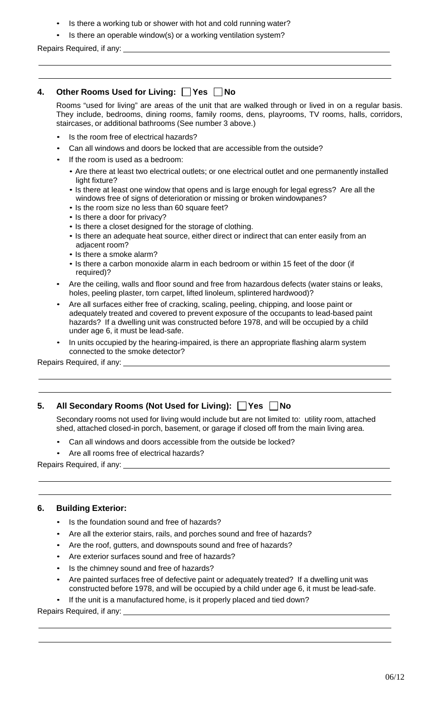- Is there a working tub or shower with hot and cold running water?
- Is there an operable window(s) or a working ventilation system?

Repairs Required, if any:

## **4.** Other Rooms Used for Living:  $\bigcap$  Yes  $\bigcap$  No

Rooms "used for living" are areas of the unit that are walked through or lived in on a regular basis. They include, bedrooms, dining rooms, family rooms, dens, playrooms, TV rooms, halls, corridors, staircases, or additional bathrooms (See number 3 above.)

- Is the room free of electrical hazards?
- Can all windows and doors be locked that are accessible from the outside?
- If the room is used as a bedroom:
	- Are there at least two electrical outlets; or one electrical outlet and one permanently installed light fixture?
	- Is there at least one window that opens and is large enough for legal egress? Are all the windows free of signs of deterioration or missing or broken windowpanes?
	- Is the room size no less than 60 square feet?
	- Is there a door for privacy?
	- Is there a closet designed for the storage of clothing.
	- Is there an adequate heat source, either direct or indirect that can enter easily from an adjacent room?
	- Is there a smoke alarm?
	- Is there a carbon monoxide alarm in each bedroom or within 15 feet of the door (if required)?
- Are the ceiling, walls and floor sound and free from hazardous defects (water stains or leaks, holes, peeling plaster, torn carpet, lifted linoleum, splintered hardwood)?
- Are all surfaces either free of cracking, scaling, peeling, chipping, and loose paint or adequately treated and covered to prevent exposure of the occupants to lead-based paint hazards? If a dwelling unit was constructed before 1978, and will be occupied by a child under age 6, it must be lead-safe.
- In units occupied by the hearing-impaired, is there an appropriate flashing alarm system connected to the smoke detector?

Repairs Required, if any:

#### **5.** All Secondary Rooms (Not Used for Living):  $\Box$  Yes  $\Box$  No

Secondary rooms not used for living would include but are not limited to: utility room, attached shed, attached closed-in porch, basement, or garage if closed off from the main living area.

- Can all windows and doors accessible from the outside be locked?
- Are all rooms free of electrical hazards?

Repairs Required, if any:

#### **6. Building Exterior:**

- Is the foundation sound and free of hazards?
- Are all the exterior stairs, rails, and porches sound and free of hazards?
- Are the roof, gutters, and downspouts sound and free of hazards?
- Are exterior surfaces sound and free of hazards?
- Is the chimney sound and free of hazards?
- Are painted surfaces free of defective paint or adequately treated? If a dwelling unit was constructed before 1978, and will be occupied by a child under age 6, it must be lead-safe.

If the unit is a manufactured home, is it properly placed and tied down?

Repairs Required, if any: